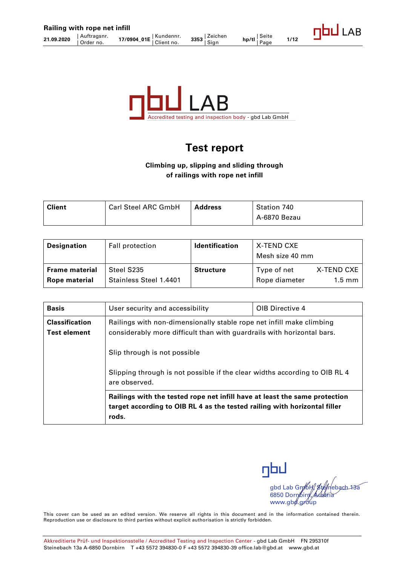

# **Test report**

## **Climbing up, slipping and sliding through of railings with rope net infill**

| <b>Client</b> | <b>Carl Steel ARC GmbH</b> | <b>Address</b> | Station 740  |
|---------------|----------------------------|----------------|--------------|
|               |                            |                | A-6870 Bezau |

| <b>Designation</b>    | Fall protection        | <b>Identification</b> | X-TEND CXE<br>Mesh size 40 mm |            |
|-----------------------|------------------------|-----------------------|-------------------------------|------------|
| <b>Frame material</b> | Steel S235             | <b>Structure</b>      | Type of net                   | X-TEND CXE |
| Rope material         | Stainless Steel 1.4401 |                       | Rope diameter                 | $1.5$ mm   |

| <b>Basis</b>                                 | User security and accessibility                                                                                                                                  | OIB Directive 4 |  |
|----------------------------------------------|------------------------------------------------------------------------------------------------------------------------------------------------------------------|-----------------|--|
| <b>Classification</b><br><b>Test element</b> | Railings with non-dimensionally stable rope net infill make climbing<br>considerably more difficult than with guardrails with horizontal bars.                   |                 |  |
|                                              | Slip through is not possible                                                                                                                                     |                 |  |
|                                              | Slipping through is not possible if the clear widths according to OIB RL 4<br>are observed.                                                                      |                 |  |
|                                              | Railings with the tested rope net infill have at least the same protection<br>target according to OIB RL 4 as the tested railing with horizontal filler<br>rods. |                 |  |

nbu gbd Lab Gn/bH/, Ste/nebach 13a 6850 Dornbirn, Austria www.gbd.group

This cover can be used as an edited version. We reserve all rights in this document and in the information contained therein. Reproduction use or disclosure to third parties without explicit authorisation is strictly forbidden.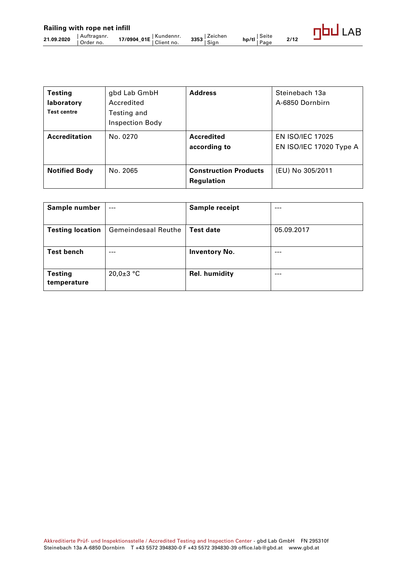| <b>Testing</b><br>laboratory<br><b>Test centre</b> | gbd Lab GmbH<br>Accredited<br>Testing and<br><b>Inspection Body</b> | <b>Address</b>                             | Steinebach 13a<br>A-6850 Dornbirn                  |
|----------------------------------------------------|---------------------------------------------------------------------|--------------------------------------------|----------------------------------------------------|
| <b>Accreditation</b>                               | No. 0270                                                            | <b>Accredited</b><br>according to          | <b>EN ISO/IEC 17025</b><br>EN ISO/IEC 17020 Type A |
| <b>Notified Body</b>                               | No. 2065                                                            | <b>Construction Products</b><br>Regulation | (EU) No 305/2011                                   |

| Sample number                 | $---$                      | Sample receipt       | ---        |
|-------------------------------|----------------------------|----------------------|------------|
| <b>Testing location</b>       | <b>Gemeindesaal Reuthe</b> | <b>Test date</b>     | 05.09.2017 |
| <b>Test bench</b>             | ---                        | <b>Inventory No.</b> | ---        |
| <b>Testing</b><br>temperature | $20,0+3$ °C                | Rel. humidity        | ---        |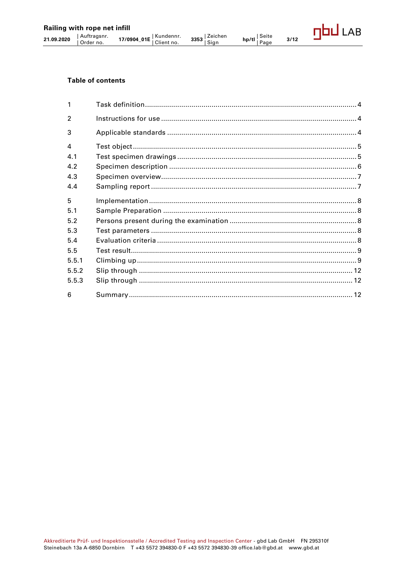## **Table of contents**

| 1                |  |
|------------------|--|
| $\mathfrak{p}$   |  |
| 3                |  |
| $\boldsymbol{4}$ |  |
| 4.1              |  |
| 4.2              |  |
| 4.3              |  |
| 4.4              |  |
| 5                |  |
| 5.1              |  |
| 5.2              |  |
| 5.3              |  |
| 5.4              |  |
| 5.5              |  |
| 5.5.1            |  |
| 5.5.2            |  |
| 5.5.3            |  |
| 6                |  |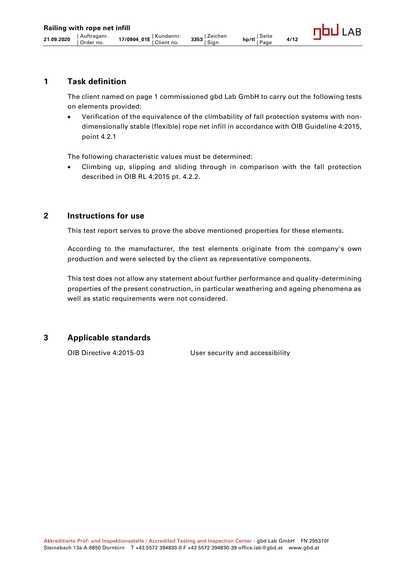# <span id="page-3-0"></span>**1 Task definition**

The client named on page 1 commissioned gbd Lab GmbH to carry out the following tests on elements provided:

• Verification of the equivalence of the climbability of fall protection systems with nondimensionally stable (flexible) rope net infill in accordance with OIB Guideline 4:2015, point 4.2.1

The following characteristic values must be determined:

• Climbing up, slipping and sliding through in comparison with the fall protection described in OIB RL 4:2015 pt. 4.2.2.

## <span id="page-3-1"></span>**2 Instructions for use**

This test report serves to prove the above mentioned properties for these elements.

According to the manufacturer, the test elements originate from the company's own production and were selected by the client as representative components.

This test does not allow any statement about further performance and quality-determining properties of the present construction, in particular weathering and ageing phenomena as well as static requirements were not considered.

## <span id="page-3-2"></span>**3 Applicable standards**

OIB Directive 4:2015-03 User security and accessibility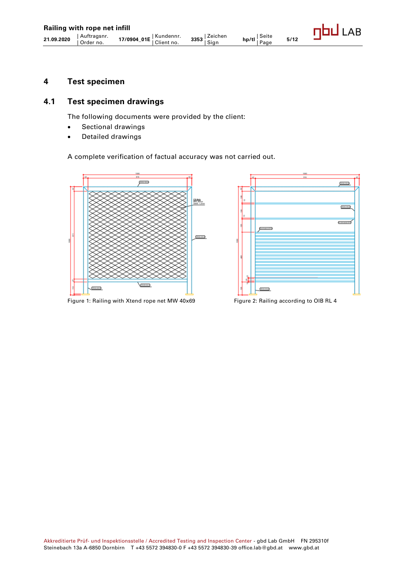## <span id="page-4-0"></span>**4 Test specimen**

# <span id="page-4-1"></span>**4.1 Test specimen drawings**

The following documents were provided by the client:

- Sectional drawings
- Detailed drawings

#### A complete verification of factual accuracy was not carried out.





Figure 1: Railing with Xtend rope net MW 40x69 Figure 2: Railing according to OIB RL 4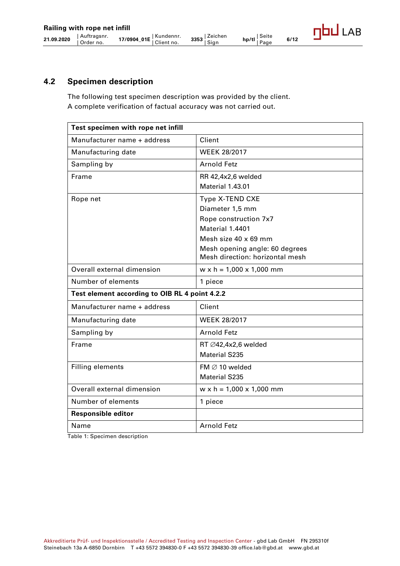# <span id="page-5-0"></span>**4.2 Specimen description**

The following test specimen description was provided by the client. A complete verification of factual accuracy was not carried out.

| Test specimen with rope net infill             |                                      |  |
|------------------------------------------------|--------------------------------------|--|
| Manufacturer name + address                    | Client                               |  |
| Manufacturing date                             | <b>WEEK 28/2017</b>                  |  |
| Sampling by                                    | <b>Arnold Fetz</b>                   |  |
| Frame                                          | RR 42,4x2,6 welded                   |  |
|                                                | Material 1.43.01                     |  |
| Rope net                                       | Type X-TEND CXE                      |  |
|                                                | Diameter 1,5 mm                      |  |
|                                                | Rope construction 7x7                |  |
|                                                | Material 1.4401                      |  |
|                                                | Mesh size 40 x 69 mm                 |  |
|                                                | Mesh opening angle: 60 degrees       |  |
|                                                | Mesh direction: horizontal mesh      |  |
| Overall external dimension                     | $w \times h = 1,000 \times 1,000$ mm |  |
| Number of elements                             | 1 piece                              |  |
| Test element according to OIB RL 4 point 4.2.2 |                                      |  |
| Manufacturer name + address                    | Client                               |  |
| Manufacturing date                             | <b>WEEK 28/2017</b>                  |  |
| Sampling by                                    | <b>Arnold Fetz</b>                   |  |
| Frame                                          | RT Ø42,4x2,6 welded                  |  |
|                                                | <b>Material S235</b>                 |  |
| <b>Filling elements</b>                        | FM $\varnothing$ 10 welded           |  |
|                                                | <b>Material S235</b>                 |  |
| Overall external dimension                     | $w \times h = 1,000 \times 1,000$ mm |  |
| Number of elements                             | 1 piece                              |  |
| <b>Responsible editor</b>                      |                                      |  |
| Name                                           | <b>Arnold Fetz</b>                   |  |

Table 1: Specimen description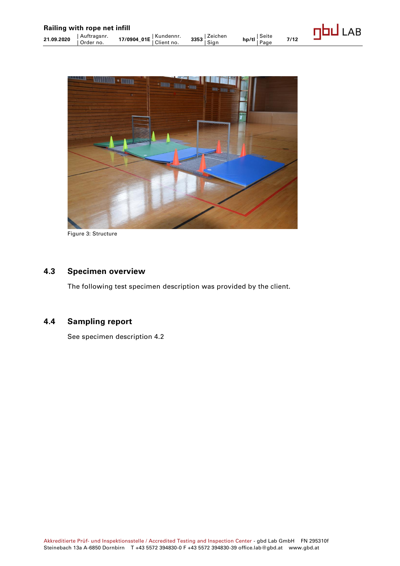

Figure 3: Structure

# <span id="page-6-0"></span>**4.3 Specimen overview**

The following test specimen description was provided by the client.

# <span id="page-6-1"></span>**4.4 Sampling report**

See specimen description 4.2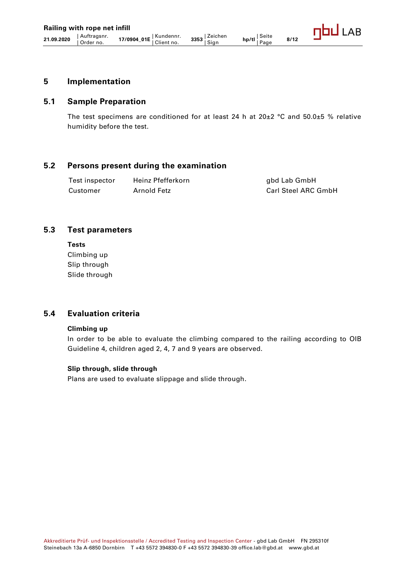## <span id="page-7-0"></span>**5 Implementation**

## <span id="page-7-1"></span>**5.1 Sample Preparation**

The test specimens are conditioned for at least 24 h at  $20\pm2$  °C and  $50.0\pm5$  % relative humidity before the test.

## <span id="page-7-2"></span>**5.2 Persons present during the examination**

Test inspector Heinz Pfefferkorn and the model of the state of the Test in Test in Test in Test in Test in Tes Customer Arnold Fetz Customer Arnold Fetz Carl Steel ARC GmbH

## <span id="page-7-3"></span>**5.3 Test parameters**

**Tests** Climbing up Slip through Slide through

## <span id="page-7-4"></span>**5.4 Evaluation criteria**

#### **Climbing up**

In order to be able to evaluate the climbing compared to the railing according to OIB Guideline 4, children aged 2, 4, 7 and 9 years are observed.

#### **Slip through, slide through**

Plans are used to evaluate slippage and slide through.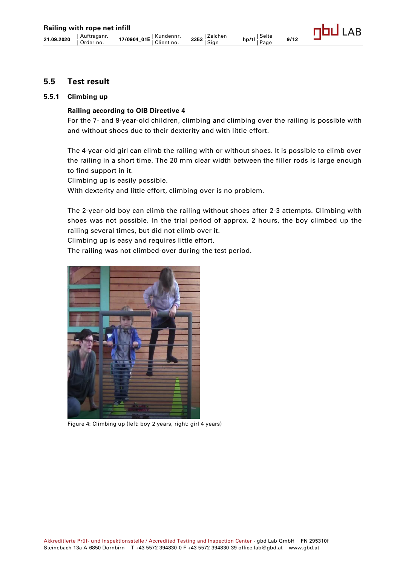## <span id="page-8-0"></span>**5.5 Test result**

#### <span id="page-8-1"></span>**5.5.1 Climbing up**

#### **Railing according to OIB Directive 4**

For the 7- and 9-year-old children, climbing and climbing over the railing is possible with and without shoes due to their dexterity and with little effort.

The 4-year-old girl can climb the railing with or without shoes. It is possible to climb over the railing in a short time. The 20 mm clear width between the filler rods is large enough to find support in it.

Climbing up is easily possible.

With dexterity and little effort, climbing over is no problem.

The 2-year-old boy can climb the railing without shoes after 2-3 attempts. Climbing with shoes was not possible. In the trial period of approx. 2 hours, the boy climbed up the railing several times, but did not climb over it.

Climbing up is easy and requires little effort.

The railing was not climbed-over during the test period.



Figure 4: Climbing up (left: boy 2 years, right: girl 4 years)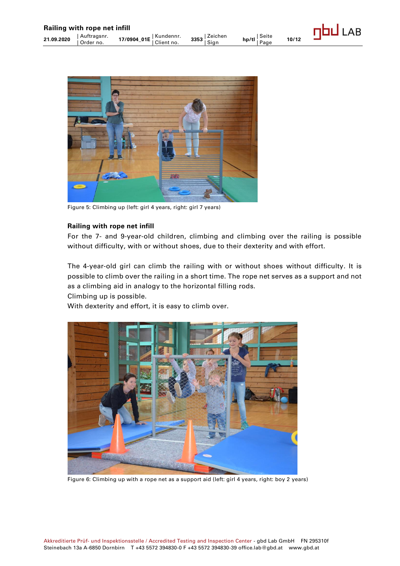

Figure 5: Climbing up (left: girl 4 years, right: girl 7 years)

#### **Railing with rope net infill**

For the 7- and 9-year-old children, climbing and climbing over the railing is possible without difficulty, with or without shoes, due to their dexterity and with effort.

The 4-year-old girl can climb the railing with or without shoes without difficulty. It is possible to climb over the railing in a short time. The rope net serves as a support and not as a climbing aid in analogy to the horizontal filling rods.

Climbing up is possible.

With dexterity and effort, it is easy to climb over.



Figure 6: Climbing up with a rope net as a support aid (left: girl 4 years, right: boy 2 years)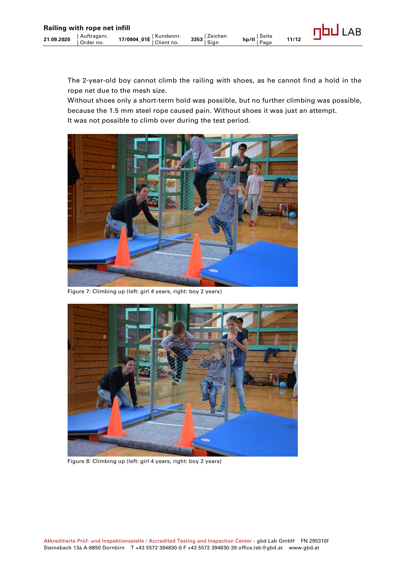The 2-year-old boy cannot climb the railing with shoes, as he cannot find a hold in the rope net due to the mesh size.

Without shoes only a short-term hold was possible, but no further climbing was possible, because the 1.5 mm steel rope caused pain. Without shoes it was just an attempt. It was not possible to climb over during the test period.



Figure 7: Climbing up (left: girl 4 years, right: boy 2 years)



Figure 8: Climbing up (left: girl 4 years, right: boy 2 years)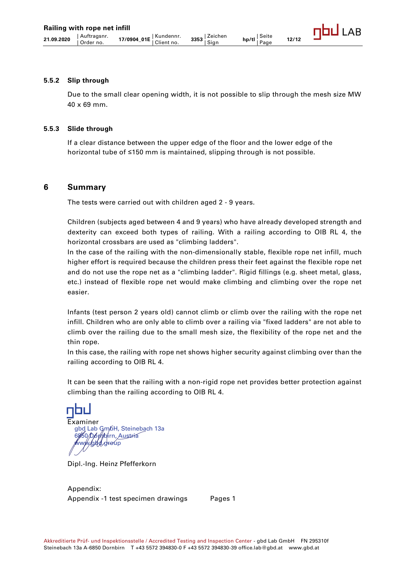#### <span id="page-11-0"></span>**5.5.2 Slip through**

Due to the small clear opening width, it is not possible to slip through the mesh size MW 40 x 69 mm.

#### <span id="page-11-1"></span>**5.5.3 Slide through**

If a clear distance between the upper edge of the floor and the lower edge of the horizontal tube of ≤150 mm is maintained, slipping through is not possible.

#### <span id="page-11-2"></span>**6 Summary**

The tests were carried out with children aged 2 - 9 years.

Children (subjects aged between 4 and 9 years) who have already developed strength and dexterity can exceed both types of railing. With a railing according to OIB RL 4, the horizontal crossbars are used as "climbing ladders".

In the case of the railing with the non-dimensionally stable, flexible rope net infill, much higher effort is required because the children press their feet against the flexible rope net and do not use the rope net as a "climbing ladder". Rigid fillings (e.g. sheet metal, glass, etc.) instead of flexible rope net would make climbing and climbing over the rope net easier.

Infants (test person 2 years old) cannot climb or climb over the railing with the rope net infill. Children who are only able to climb over a railing via "fixed ladders" are not able to climb over the railing due to the small mesh size, the flexibility of the rope net and the thin rope.

In this case, the railing with rope net shows higher security against climbing over than the railing according to OIB RL 4.

It can be seen that the railing with a non-rigid rope net provides better protection against climbing than the railing according to OIB RL 4.

Examiner gbd Lab Gm6H, Steinebach 13a 6%50*/D6\/r|*olirn, Austria **//www./gbd/.group** 

Dipl.-Ing. Heinz Pfefferkorn

Appendix: Appendix -1 test specimen drawings Pages 1